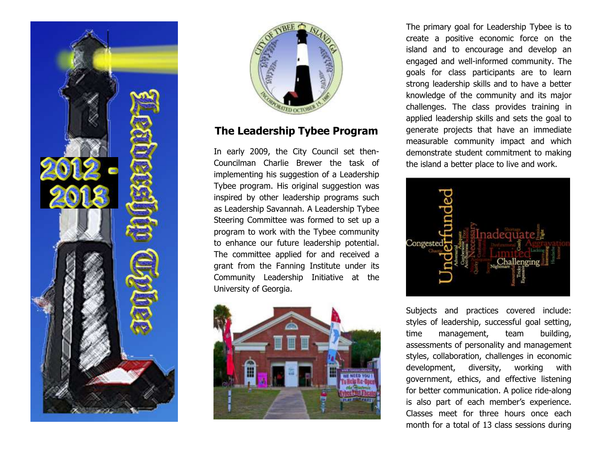



## **The Leadership Tybee Program**

In early 2009, the City Council set then-Councilman Charlie Brewer the task of implementing his suggestion of a Leadership Tybee program. His original suggestion was inspired by other leadership programs such as Leadership Savannah. A Leadership Tybee Steering Committee was formed to set up a program to work with the Tybee community to enhance our future leadership potential. The committee applied for and received a grant from the Fanning Institute under its Community Leadership Initiative at the University of Georgia.



The primary goal for Leadership Tybee is to create a positive economic force on the island and to encourage and develop an engaged and well-informed community. The goals for class participants are to learn strong leadership skills and to have a better knowledge of the community and its major challenges. The class provides training in applied leadership skills and sets the goal to generate projects that have an immediate measurable community impact and which demonstrate student commitment to making the island a better place to live and work.



Subjects and practices covered include: styles of leadership, successful goal setting, time management, team building, assessments of personality and management styles, collaboration, challenges in economic development, diversity, working with government, ethics, and effective listening for better communication. A police ride-along is also part of each member's experience. Classes meet for three hours once each month for a total of 13 class sessions during